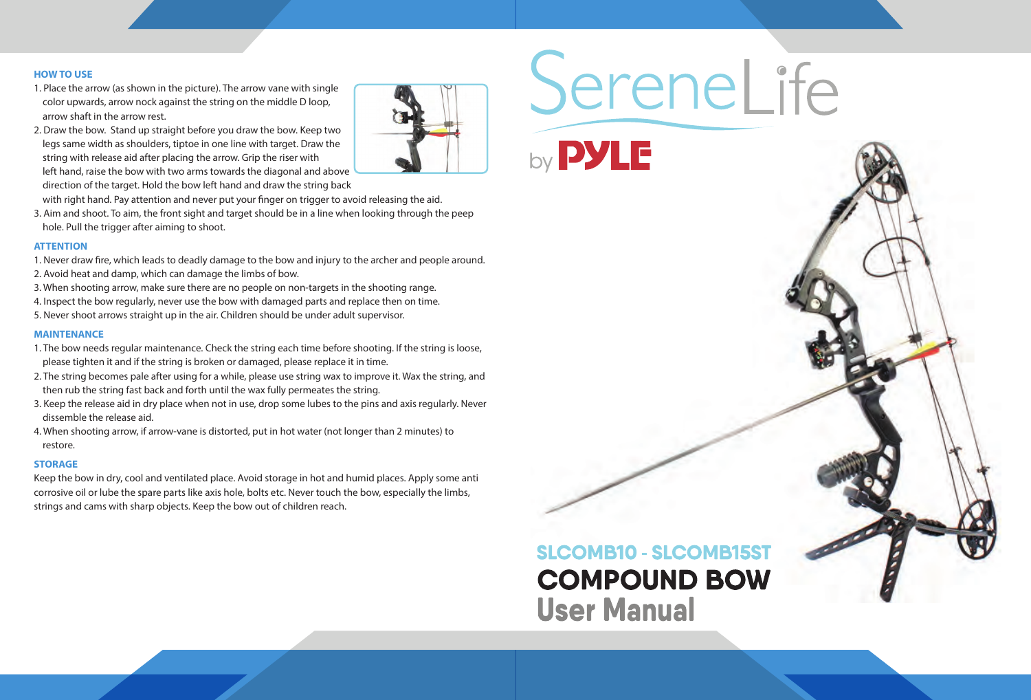#### **HOW TO USE**

- 1. Place the arrow (as shown in the picture). The arrow vane with single color upwards, arrow nock against the string on the middle D loop, arrow shaft in the arrow rest.
- 2. Draw the bow. Stand up straight before you draw the bow. Keep two legs same width as shoulders, tiptoe in one line with target. Draw the string with release aid after placing the arrow. Grip the riser with left hand, raise the bow with two arms towards the diagonal and above direction of the target. Hold the bow left hand and draw the string back with right hand. Pay attention and never put your finger on trigger to avoid releasing the aid.
- 3. Aim and shoot. To aim, the front sight and target should be in a line when looking through the peep hole. Pull the trigger after aiming to shoot.

- 1. Never draw fire, which leads to deadly damage to the bow and injury to the archer and people around.
- 2. Avoid heat and damp, which can damage the limbs of bow.
- 3. When shooting arrow, make sure there are no people on non-targets in the shooting range.
- 4. Inspect the bow regularly, never use the bow with damaged parts and replace then on time.
- 5. Never shoot arrows straight up in the air. Children should be under adult supervisor.

#### **ATTENTION**

#### **MAINTENANCE**

- 1. The bow needs regular maintenance. Check the string each time before shooting. If the string is loose, please tighten it and if the string is broken or damaged, please replace it in time.
- 2. The string becomes pale after using for a while, please use string wax to improve it. Wax the string, and then rub the string fast back and forth until the wax fully permeates the string.
- 3. Keep the release aid in dry place when not in use, drop some lubes to the pins and axis regularly. Never dissemble the release aid.
- 4. When shooting arrow, if arrow-vane is distorted, put in hot water (not longer than 2 minutes) to restore.

#### **STORAGE**

Keep the bow in dry, cool and ventilated place. Avoid storage in hot and humid places. Apply some anti corrosive oil or lube the spare parts like axis hole, bolts etc. Never touch the bow, especially the limbs, strings and cams with sharp objects. Keep the bow out of children reach.





# **User Manual**